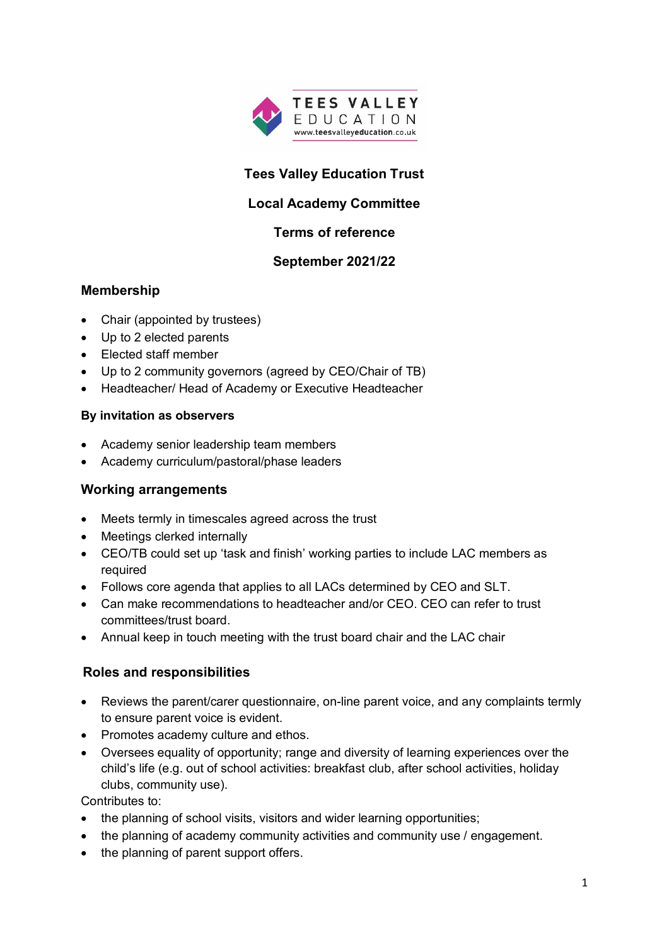

# **Tees Valley Education Trust**

# **Local Academy Committee**

## **Terms of reference**

#### **September 2021/22**

## **Membership**

- Chair (appointed by trustees)
- Up to 2 elected parents
- Elected staff member
- Up to 2 community governors (agreed by CEO/Chair of TB)
- Headteacher/ Head of Academy or Executive Headteacher

#### **By invitation as observers**

- Academy senior leadership team members
- Academy curriculum/pastoral/phase leaders

#### **Working arrangements**

- Meets termly in timescales agreed across the trust
- Meetings clerked internally
- CEO/TB could set up 'task and finish' working parties to include LAC members as required
- Follows core agenda that applies to all LACs determined by CEO and SLT.
- Can make recommendations to headteacher and/or CEO. CEO can refer to trust committees/trust board.
- Annual keep in touch meeting with the trust board chair and the LAC chair

## **Roles and responsibilities**

- Reviews the parent/carer questionnaire, on-line parent voice, and any complaints termly to ensure parent voice is evident.
- Promotes academy culture and ethos.
- Oversees equality of opportunity; range and diversity of learning experiences over the child's life (e.g. out of school activities: breakfast club, after school activities, holiday clubs, community use).

Contributes to:

- the planning of school visits, visitors and wider learning opportunities;
- the planning of academy community activities and community use / engagement.
- the planning of parent support offers.